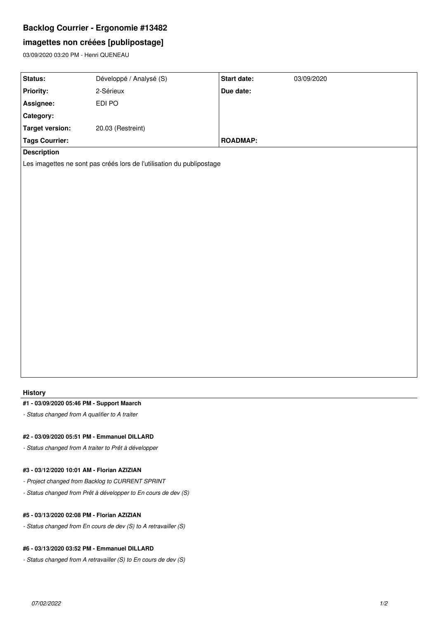## **Backlog Courrier - Ergonomie #13482**

# **imagettes non créées [publipostage]**

03/09/2020 03:20 PM - Henri QUENEAU

| Status:                                                               | Développé / Analysé (S) | Start date:     | 03/09/2020 |
|-----------------------------------------------------------------------|-------------------------|-----------------|------------|
| <b>Priority:</b>                                                      | 2-Sérieux               | Due date:       |            |
| Assignee:                                                             | EDI PO                  |                 |            |
| Category:                                                             |                         |                 |            |
| <b>Target version:</b>                                                | 20.03 (Restreint)       |                 |            |
| <b>Tags Courrier:</b>                                                 |                         | <b>ROADMAP:</b> |            |
| <b>Description</b>                                                    |                         |                 |            |
| Les imagettes ne sont pas créés lors de l'utilisation du publipostage |                         |                 |            |
|                                                                       |                         |                 |            |
|                                                                       |                         |                 |            |
|                                                                       |                         |                 |            |
|                                                                       |                         |                 |            |
|                                                                       |                         |                 |            |
|                                                                       |                         |                 |            |
|                                                                       |                         |                 |            |
|                                                                       |                         |                 |            |
|                                                                       |                         |                 |            |
|                                                                       |                         |                 |            |
|                                                                       |                         |                 |            |
|                                                                       |                         |                 |            |

#### **History**

### **#1 - 03/09/2020 05:46 PM - Support Maarch**

*- Status changed from A qualifier to A traiter*

#### **#2 - 03/09/2020 05:51 PM - Emmanuel DILLARD**

*- Status changed from A traiter to Prêt à développer*

## **#3 - 03/12/2020 10:01 AM - Florian AZIZIAN**

- *Project changed from Backlog to CURRENT SPRINT*
- *Status changed from Prêt à développer to En cours de dev (S)*

#### **#5 - 03/13/2020 02:08 PM - Florian AZIZIAN**

*- Status changed from En cours de dev (S) to A retravailler (S)*

#### **#6 - 03/13/2020 03:52 PM - Emmanuel DILLARD**

*- Status changed from A retravailler (S) to En cours de dev (S)*